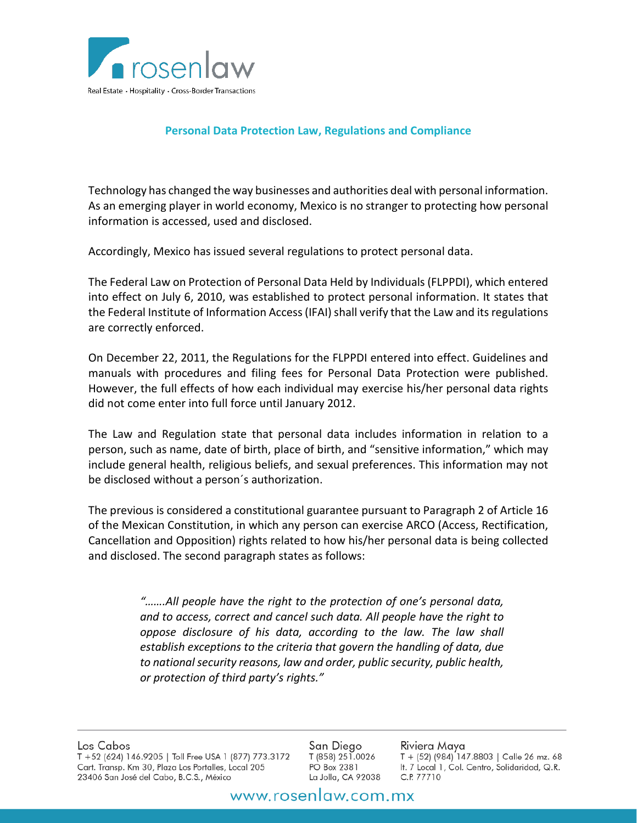

### **Personal Data Protection Law, Regulations and Compliance**

Technology has changed the way businesses and authorities deal with personal information. As an emerging player in world economy, Mexico is no stranger to protecting how personal information is accessed, used and disclosed.

Accordingly, Mexico has issued several regulations to protect personal data.

The Federal Law on Protection of Personal Data Held by Individuals (FLPPDI), which entered into effect on July 6, 2010, was established to protect personal information. It states that the Federal Institute of Information Access (IFAI) shall verify that the Law and its regulations are correctly enforced.

On December 22, 2011, the Regulations for the FLPPDI entered into effect. Guidelines and manuals with procedures and filing fees for Personal Data Protection were published. However, the full effects of how each individual may exercise his/her personal data rights did not come enter into full force until January 2012.

The Law and Regulation state that personal data includes information in relation to a person, such as name, date of birth, place of birth, and "sensitive information," which may include general health, religious beliefs, and sexual preferences. This information may not be disclosed without a person´s authorization.

The previous is considered a constitutional guarantee pursuant to Paragraph 2 of Article 16 of the Mexican Constitution, in which any person can exercise ARCO (Access, Rectification, Cancellation and Opposition) rights related to how his/her personal data is being collected and disclosed. The second paragraph states as follows:

> *"…….All people have the right to the protection of one's personal data, and to access, correct and cancel such data. All people have the right to oppose disclosure of his data, according to the law. The law shall establish exceptions to the criteria that govern the handling of data, due to national security reasons, law and order, public security, public health, or protection of third party's rights."*

San Diego T (858) 251.0026 PO Box 2381 La Jolla, CA 92038

Riviera Maya T + (52) (984) 147.8803 | Calle 26 mz. 68 It. 7 Local 1, Col. Centro, Solidaridad, Q.R. C.P. 77710

## www.rosenlaw.com.mx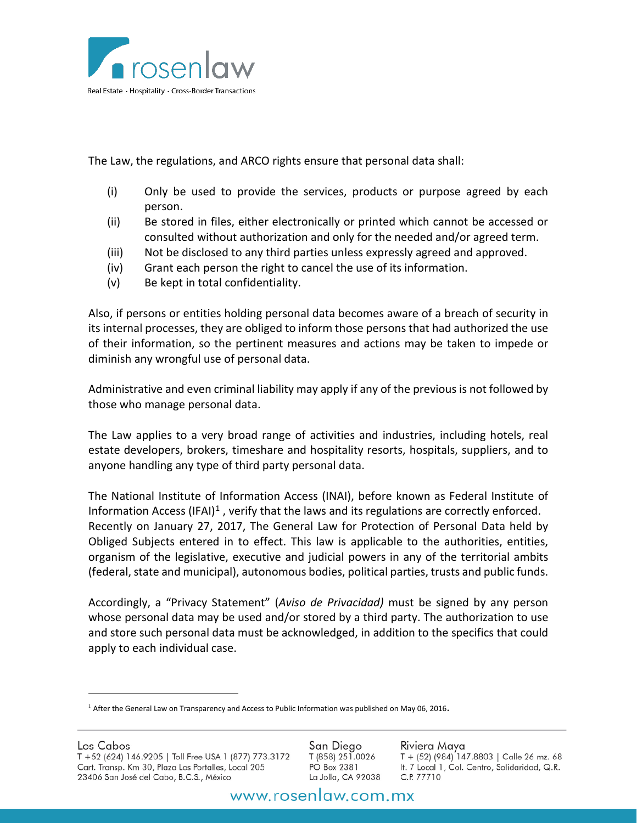

The Law, the regulations, and ARCO rights ensure that personal data shall:

- (i) Only be used to provide the services, products or purpose agreed by each person.
- (ii) Be stored in files, either electronically or printed which cannot be accessed or consulted without authorization and only for the needed and/or agreed term.
- (iii) Not be disclosed to any third parties unless expressly agreed and approved.
- (iv) Grant each person the right to cancel the use of its information.
- (v) Be kept in total confidentiality.

Also, if persons or entities holding personal data becomes aware of a breach of security in its internal processes, they are obliged to inform those persons that had authorized the use of their information, so the pertinent measures and actions may be taken to impede or diminish any wrongful use of personal data.

Administrative and even criminal liability may apply if any of the previous is not followed by those who manage personal data.

The Law applies to a very broad range of activities and industries, including hotels, real estate developers, brokers, timeshare and hospitality resorts, hospitals, suppliers, and to anyone handling any type of third party personal data.

The National Institute of Information Access (INAI), before known as Federal Institute of Information Access (IFAI)<sup>[1](#page-1-0)</sup>, verify that the laws and its regulations are correctly enforced. Recently on January 27, 2017, The General Law for Protection of Personal Data held by Obliged Subjects entered in to effect. This law is applicable to the authorities, entities, organism of the legislative, executive and judicial powers in any of the territorial ambits (federal, state and municipal), autonomous bodies, political parties, trusts and public funds.

Accordingly, a "Privacy Statement" (*Aviso de Privacidad)* must be signed by any person whose personal data may be used and/or stored by a third party. The authorization to use and store such personal data must be acknowledged, in addition to the specifics that could apply to each individual case.

San Diego T (858) 251.0026 PO Box 2381 La Jolla, CA 92038

Riviera Maya T + (52) (984) 147.8803 | Calle 26 mz. 68 It. 7 Local 1, Col. Centro, Solidaridad, Q.R. C.P. 77710

<span id="page-1-0"></span><sup>&</sup>lt;sup>1</sup> After the General Law on Transparency and Access to Public Information was published on May 06, 2016.